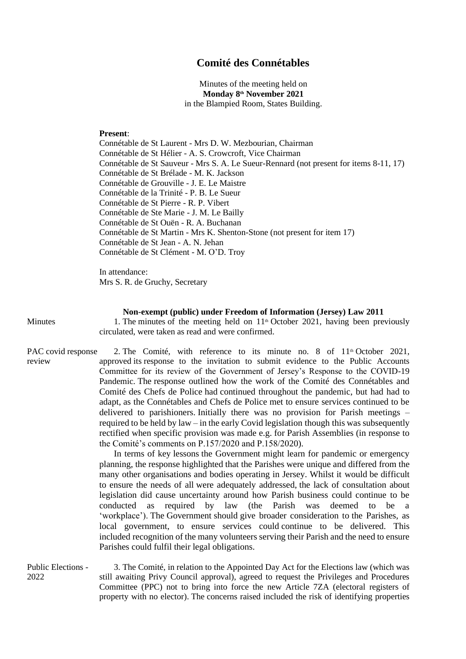## **Comité des Connétables**

Minutes of the meeting held on **Monday 8 th November 2021** in the Blampied Room, States Building.

## **Present**:

Connétable de St Laurent - Mrs D. W. Mezbourian, Chairman Connétable de St Hélier - A. S. Crowcroft, Vice Chairman Connétable de St Sauveur - Mrs S. A. Le Sueur-Rennard (not present for items 8-11, 17) Connétable de St Brélade - M. K. Jackson Connétable de Grouville - J. E. Le Maistre Connétable de la Trinité - P. B. Le Sueur Connétable de St Pierre - R. P. Vibert Connétable de Ste Marie - J. M. Le Bailly Connétable de St Ouën - R. A. Buchanan Connétable de St Martin - Mrs K. Shenton-Stone (not present for item 17) Connétable de St Jean - A. N. Jehan Connétable de St Clément - M. O'D. Troy

In attendance: Mrs S. R. de Gruchy, Secretary

## **Non-exempt (public) under Freedom of Information (Jersey) Law 2011**

Minutes 1. The minutes of the meeting held on 11<sup>th</sup> October 2021, having been previously circulated, were taken as read and were confirmed.

PAC covid response review 2. The Comité, with reference to its minute no. 8 of  $11<sup>th</sup>$  October 2021, approved its response to the invitation to submit evidence to the Public Accounts Committee for its review of the Government of Jersey's Response to the COVID-19 Pandemic. The response outlined how the work of the Comité des Connétables and Comité des Chefs de Police had continued throughout the pandemic, but had had to adapt, as the Connétables and Chefs de Police met to ensure services continued to be delivered to parishioners. Initially there was no provision for Parish meetings – required to be held by law – in the early Covid legislation though this was subsequently rectified when specific provision was made e.g. for Parish Assemblies (in response to the Comité's comments on P.157/2020 and P.158/2020).

> In terms of key lessons the Government might learn for pandemic or emergency planning, the response highlighted that the Parishes were unique and differed from the many other organisations and bodies operating in Jersey. Whilst it would be difficult to ensure the needs of all were adequately addressed, the lack of consultation about legislation did cause uncertainty around how Parish business could continue to be conducted as required by law (the Parish was deemed to be a 'workplace'). The Government should give broader consideration to the Parishes, as local government, to ensure services could continue to be delivered. This included recognition of the many volunteers serving their Parish and the need to ensure Parishes could fulfil their legal obligations.

Public Elections - 2022 3. The Comité, in relation to the Appointed Day Act for the Elections law (which was still awaiting Privy Council approval), agreed to request the Privileges and Procedures Committee (PPC) not to bring into force the new Article 7ZA (electoral registers of property with no elector). The concerns raised included the risk of identifying properties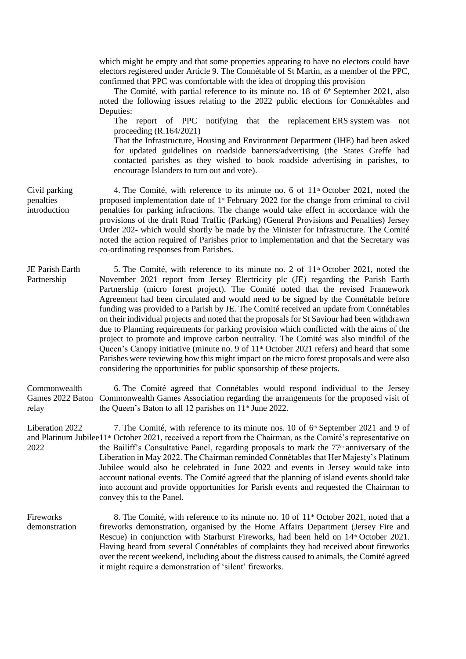which might be empty and that some properties appearing to have no electors could have electors registered under Article 9. The Connétable of St Martin, as a member of the PPC, confirmed that PPC was comfortable with the idea of dropping this provision

The Comité, with partial reference to its minute no. 18 of  $6<sup>th</sup>$  September 2021, also noted the following issues relating to the 2022 public elections for Connétables and Deputies:

The report of PPC notifying that the replacement ERS system was not proceeding (R.164/2021)

That the Infrastructure, Housing and Environment Department (IHE) had been asked for updated guidelines on roadside banners/advertising (the States Greffe had contacted parishes as they wished to book roadside advertising in parishes, to encourage Islanders to turn out and vote).

4. The Comité, with reference to its minute no. 6 of  $11<sup>th</sup>$  October 2021, noted the proposed implementation date of  $1$ <sup>st</sup> February 2022 for the change from criminal to civil penalties for parking infractions. The change would take effect in accordance with the provisions of the draft Road Traffic (Parking) (General Provisions and Penalties) Jersey Order 202- which would shortly be made by the Minister for Infrastructure. The Comité noted the action required of Parishes prior to implementation and that the Secretary was co-ordinating responses from Parishes.

Partnership 5. The Comité, with reference to its minute no. 2 of  $11<sup>th</sup>$  October 2021, noted the November 2021 report from Jersey Electricity plc (JE) regarding the Parish Earth Partnership (micro forest project). The Comité noted that the revised Framework Agreement had been circulated and would need to be signed by the Connétable before funding was provided to a Parish by JE. The Comité received an update from Connétables on their individual projects and noted that the proposals for St Saviour had been withdrawn due to Planning requirements for parking provision which conflicted with the aims of the project to promote and improve carbon neutrality. The Comité was also mindful of the Queen's Canopy initiative (minute no. 9 of 11<sup>th</sup> October 2021 refers) and heard that some Parishes were reviewing how this might impact on the micro forest proposals and were also considering the opportunities for public sponsorship of these projects.

Commonwealth Games 2022 Baton Commonwealth Games Association regarding the arrangements for the proposed visit of relay 6. The Comité agreed that Connétables would respond individual to the Jersey the Queen's Baton to all 12 parishes on 11<sup>th</sup> June 2022.

Liberation 2022 and Platinum Jubilee 1<sup>1th</sup> October 2021, received a report from the Chairman, as the Comité's representative on 2022 7. The Comité, with reference to its minute nos. 10 of  $6<sup>th</sup>$  September 2021 and 9 of the Bailiff's Consultative Panel, regarding proposals to mark the  $77<sup>th</sup>$  anniversary of the Liberation in May 2022. The Chairman reminded Connétables that Her Majesty's Platinum Jubilee would also be celebrated in June 2022 and events in Jersey would take into account national events. The Comité agreed that the planning of island events should take into account and provide opportunities for Parish events and requested the Chairman to convey this to the Panel.

Fireworks demonstration 8. The Comité, with reference to its minute no. 10 of  $11<sup>th</sup>$  October 2021, noted that a fireworks demonstration, organised by the Home Affairs Department (Jersey Fire and Rescue) in conjunction with Starburst Fireworks, had been held on 14<sup>th</sup> October 2021. Having heard from several Connétables of complaints they had received about fireworks over the recent weekend, including about the distress caused to animals, the Comité agreed it might require a demonstration of 'silent' fireworks.

Civil parking penalties – introduction

JE Parish Earth